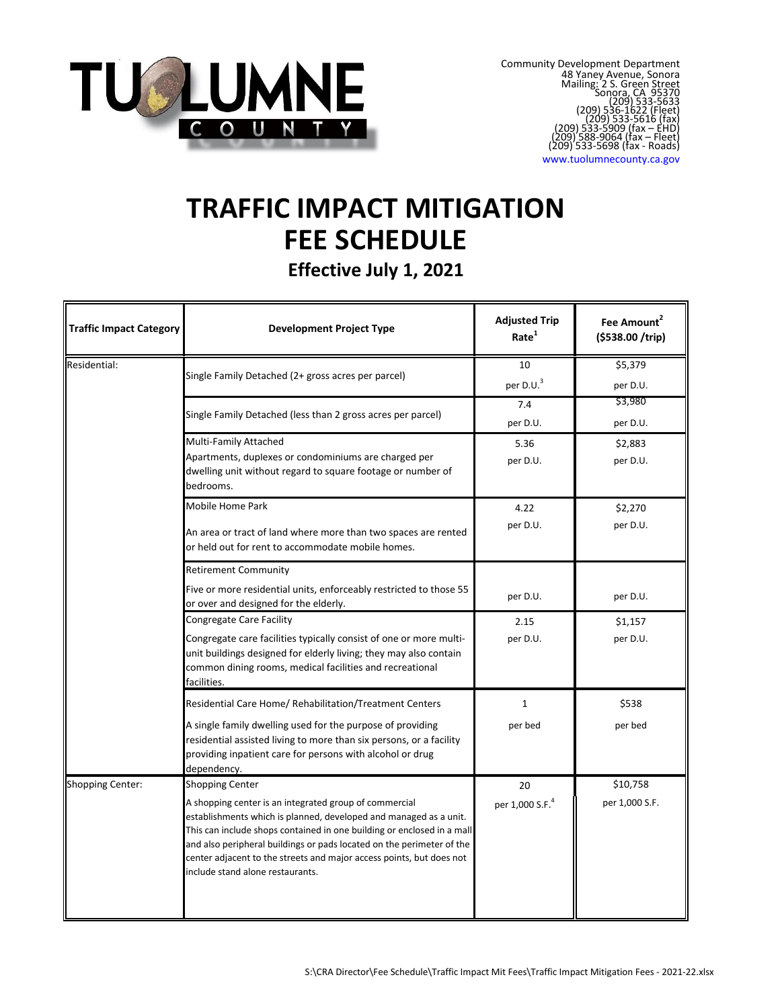

www.tuolumnecounty.ca.gov

# **TRAFFIC IMPACT MITIGATION FEE SCHEDULE**

**Effective July 1, 2021**

| <b>Traffic Impact Category</b> | <b>Development Project Type</b>                                                                                                                                                                                                                                                                                                                                                                                      | <b>Adjusted Trip</b><br>Rate <sup>1</sup> | Fee Amount <sup>2</sup><br>(\$538.00 /trip) |
|--------------------------------|----------------------------------------------------------------------------------------------------------------------------------------------------------------------------------------------------------------------------------------------------------------------------------------------------------------------------------------------------------------------------------------------------------------------|-------------------------------------------|---------------------------------------------|
| Residential:                   | Single Family Detached (2+ gross acres per parcel)                                                                                                                                                                                                                                                                                                                                                                   | 10<br>per D.U. <sup>3</sup>               | \$5,379<br>per D.U.                         |
|                                | Single Family Detached (less than 2 gross acres per parcel)                                                                                                                                                                                                                                                                                                                                                          | 7.4<br>per D.U.                           | \$3,980<br>per D.U.                         |
|                                | Multi-Family Attached<br>Apartments, duplexes or condominiums are charged per<br>dwelling unit without regard to square footage or number of<br>bedrooms.                                                                                                                                                                                                                                                            | 5.36<br>per D.U.                          | \$2,883<br>per D.U.                         |
|                                | Mobile Home Park<br>An area or tract of land where more than two spaces are rented<br>or held out for rent to accommodate mobile homes.                                                                                                                                                                                                                                                                              | 4.22<br>per D.U.                          | \$2,270<br>per D.U.                         |
|                                | <b>Retirement Community</b><br>Five or more residential units, enforceably restricted to those 55<br>or over and designed for the elderly.                                                                                                                                                                                                                                                                           | per D.U.                                  | per D.U.                                    |
|                                | <b>Congregate Care Facility</b><br>Congregate care facilities typically consist of one or more multi-<br>unit buildings designed for elderly living; they may also contain<br>common dining rooms, medical facilities and recreational<br>facilities.                                                                                                                                                                | 2.15<br>per D.U.                          | \$1,157<br>per D.U.                         |
|                                | Residential Care Home/ Rehabilitation/Treatment Centers<br>A single family dwelling used for the purpose of providing<br>residential assisted living to more than six persons, or a facility<br>providing inpatient care for persons with alcohol or drug<br>dependency.                                                                                                                                             | $\mathbf{1}$<br>per bed                   | \$538<br>per bed                            |
| <b>Shopping Center:</b>        | <b>Shopping Center</b><br>A shopping center is an integrated group of commercial<br>establishments which is planned, developed and managed as a unit.<br>This can include shops contained in one building or enclosed in a mall<br>and also peripheral buildings or pads located on the perimeter of the<br>center adjacent to the streets and major access points, but does not<br>include stand alone restaurants. | 20<br>per 1,000 S.F. <sup>4</sup>         | \$10,758<br>per 1,000 S.F.                  |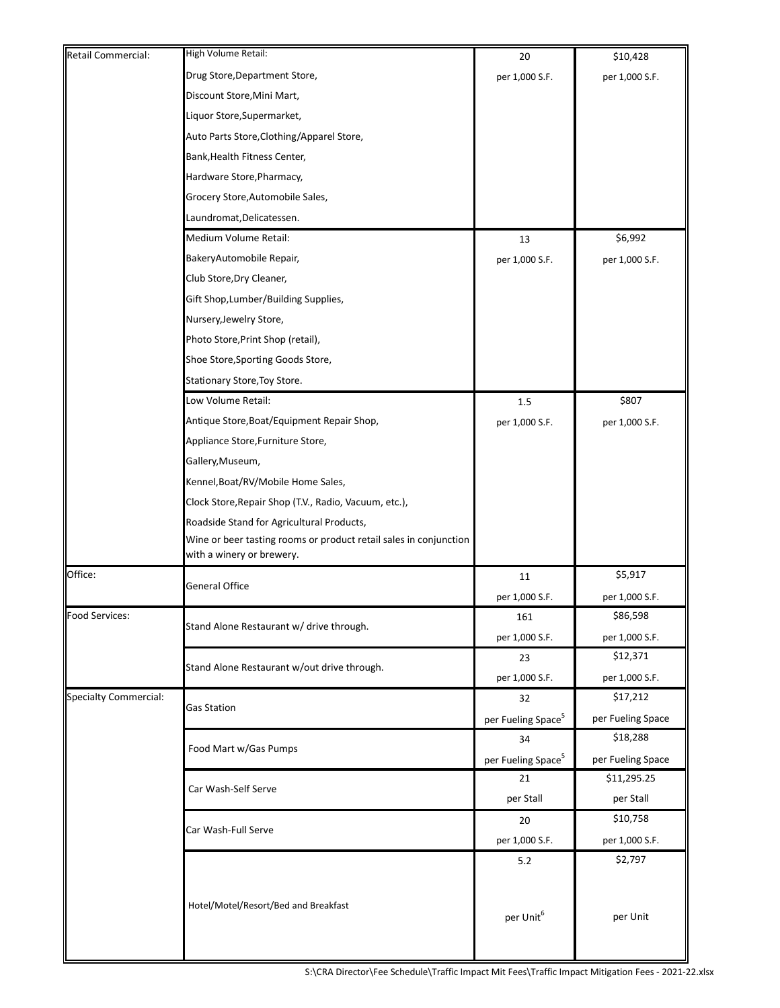| Retail Commercial:           | High Volume Retail:                                               | 20                             | \$10,428          |
|------------------------------|-------------------------------------------------------------------|--------------------------------|-------------------|
|                              | Drug Store, Department Store,                                     | per 1,000 S.F.                 | per 1,000 S.F.    |
|                              | Discount Store, Mini Mart,                                        |                                |                   |
|                              | Liquor Store, Supermarket,                                        |                                |                   |
|                              | Auto Parts Store, Clothing/Apparel Store,                         |                                |                   |
|                              | Bank, Health Fitness Center,                                      |                                |                   |
|                              | Hardware Store, Pharmacy,                                         |                                |                   |
|                              | Grocery Store, Automobile Sales,                                  |                                |                   |
|                              | Laundromat, Delicatessen.                                         |                                |                   |
|                              | Medium Volume Retail:                                             | 13                             | \$6,992           |
|                              | BakeryAutomobile Repair,                                          | per 1,000 S.F.                 | per 1,000 S.F.    |
|                              | Club Store, Dry Cleaner,                                          |                                |                   |
|                              | Gift Shop, Lumber/Building Supplies,                              |                                |                   |
|                              | Nursery, Jewelry Store,                                           |                                |                   |
|                              | Photo Store, Print Shop (retail),                                 |                                |                   |
|                              | Shoe Store, Sporting Goods Store,                                 |                                |                   |
|                              | Stationary Store, Toy Store.                                      |                                |                   |
|                              | Low Volume Retail:                                                | 1.5                            | \$807             |
|                              | Antique Store, Boat/Equipment Repair Shop,                        | per 1,000 S.F.                 | per 1,000 S.F.    |
|                              | Appliance Store, Furniture Store,                                 |                                |                   |
|                              | Gallery, Museum,                                                  |                                |                   |
|                              | Kennel, Boat/RV/Mobile Home Sales,                                |                                |                   |
|                              | Clock Store, Repair Shop (T.V., Radio, Vacuum, etc.),             |                                |                   |
|                              | Roadside Stand for Agricultural Products,                         |                                |                   |
|                              | Wine or beer tasting rooms or product retail sales in conjunction |                                |                   |
|                              | with a winery or brewery.                                         |                                |                   |
| Office:                      | General Office                                                    | 11                             | \$5,917           |
|                              |                                                                   | per 1,000 S.F.                 | per 1,000 S.F.    |
| Food Services:               | Stand Alone Restaurant w/ drive through.                          | 161                            | \$86,598          |
|                              |                                                                   | per 1,000 S.F.                 | per 1,000 S.F.    |
|                              | Stand Alone Restaurant w/out drive through.                       | 23                             | \$12,371          |
|                              |                                                                   | per 1,000 S.F.                 | per 1,000 S.F.    |
| <b>Specialty Commercial:</b> | Gas Station                                                       | 32                             | \$17,212          |
|                              |                                                                   | per Fueling Space <sup>5</sup> | per Fueling Space |
|                              | Food Mart w/Gas Pumps                                             | 34                             | \$18,288          |
|                              |                                                                   | per Fueling Space <sup>5</sup> | per Fueling Space |
|                              | Car Wash-Self Serve                                               | 21                             | \$11,295.25       |
|                              |                                                                   | per Stall                      | per Stall         |
|                              | Car Wash-Full Serve                                               | 20                             | \$10,758          |
|                              |                                                                   | per 1,000 S.F.                 | per 1,000 S.F.    |
|                              |                                                                   | 5.2                            | \$2,797           |
|                              |                                                                   |                                |                   |
|                              | Hotel/Motel/Resort/Bed and Breakfast                              |                                |                   |
|                              |                                                                   | per Unit <sup>6</sup>          | per Unit          |
|                              |                                                                   |                                |                   |
|                              |                                                                   |                                |                   |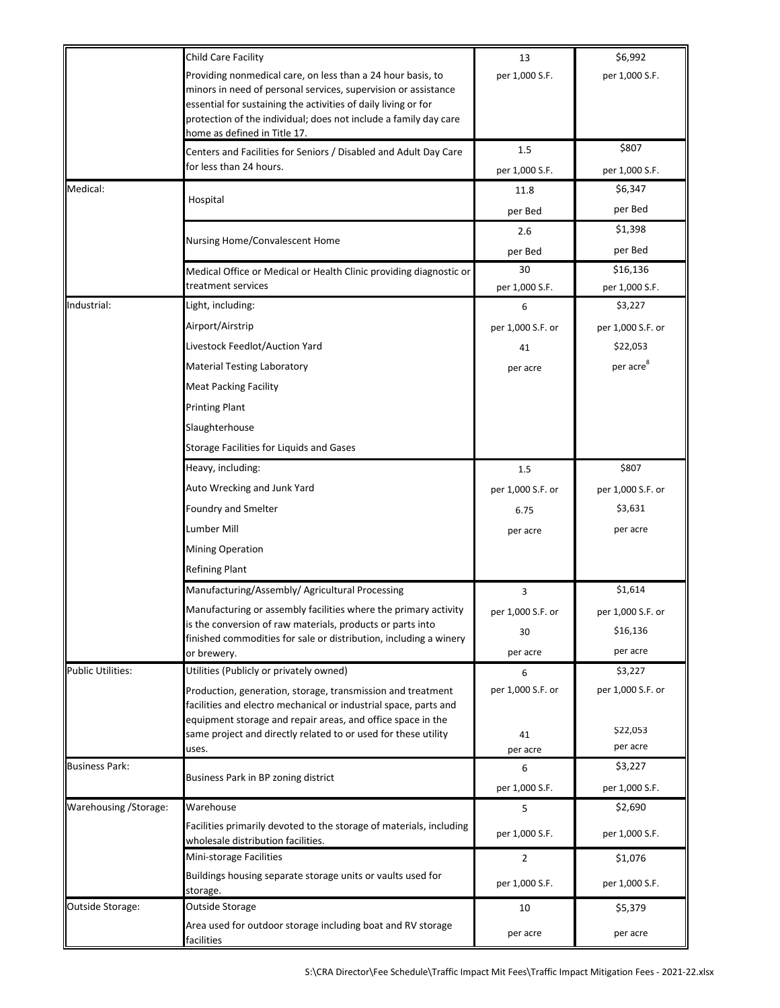|                          | Child Care Facility                                                                                                                                                                                                                                                 | 13                   | \$6,992                    |
|--------------------------|---------------------------------------------------------------------------------------------------------------------------------------------------------------------------------------------------------------------------------------------------------------------|----------------------|----------------------------|
|                          | Providing nonmedical care, on less than a 24 hour basis, to<br>minors in need of personal services, supervision or assistance<br>essential for sustaining the activities of daily living or for<br>protection of the individual; does not include a family day care | per 1,000 S.F.       | per 1,000 S.F.             |
|                          | home as defined in Title 17.                                                                                                                                                                                                                                        |                      |                            |
|                          | Centers and Facilities for Seniors / Disabled and Adult Day Care                                                                                                                                                                                                    | 1.5                  | \$807                      |
|                          | for less than 24 hours.                                                                                                                                                                                                                                             | per 1,000 S.F.       | per 1,000 S.F.             |
| Medical:                 | Hospital                                                                                                                                                                                                                                                            | 11.8                 | \$6,347                    |
|                          |                                                                                                                                                                                                                                                                     | per Bed              | per Bed                    |
|                          | Nursing Home/Convalescent Home                                                                                                                                                                                                                                      | 2.6                  | \$1,398                    |
|                          |                                                                                                                                                                                                                                                                     | per Bed              | per Bed                    |
|                          | Medical Office or Medical or Health Clinic providing diagnostic or<br>treatment services                                                                                                                                                                            | 30<br>per 1,000 S.F. | \$16,136<br>per 1,000 S.F. |
| Industrial:              | Light, including:                                                                                                                                                                                                                                                   | 6                    | \$3,227                    |
|                          | Airport/Airstrip                                                                                                                                                                                                                                                    | per 1,000 S.F. or    | per 1,000 S.F. or          |
|                          | Livestock Feedlot/Auction Yard                                                                                                                                                                                                                                      | 41                   | \$22,053                   |
|                          | <b>Material Testing Laboratory</b>                                                                                                                                                                                                                                  | per acre             | per acre <sup>8</sup>      |
|                          | <b>Meat Packing Facility</b>                                                                                                                                                                                                                                        |                      |                            |
|                          | <b>Printing Plant</b>                                                                                                                                                                                                                                               |                      |                            |
|                          | Slaughterhouse                                                                                                                                                                                                                                                      |                      |                            |
|                          | Storage Facilities for Liquids and Gases                                                                                                                                                                                                                            |                      |                            |
|                          | Heavy, including:                                                                                                                                                                                                                                                   | 1.5                  | \$807                      |
|                          | Auto Wrecking and Junk Yard                                                                                                                                                                                                                                         | per 1,000 S.F. or    | per 1,000 S.F. or          |
|                          | Foundry and Smelter                                                                                                                                                                                                                                                 | 6.75                 | \$3,631                    |
|                          | Lumber Mill                                                                                                                                                                                                                                                         | per acre             | per acre                   |
|                          | <b>Mining Operation</b>                                                                                                                                                                                                                                             |                      |                            |
|                          | <b>Refining Plant</b>                                                                                                                                                                                                                                               |                      |                            |
|                          | Manufacturing/Assembly/ Agricultural Processing                                                                                                                                                                                                                     | 3                    | \$1,614                    |
|                          | Manufacturing or assembly facilities where the primary activity                                                                                                                                                                                                     | per 1,000 S.F. or    | per 1,000 S.F. or          |
|                          | is the conversion of raw materials, products or parts into<br>finished commodities for sale or distribution, including a winery                                                                                                                                     | 30                   | \$16,136                   |
|                          | or brewery.                                                                                                                                                                                                                                                         | per acre             | per acre                   |
| <b>Public Utilities:</b> | Utilities (Publicly or privately owned)                                                                                                                                                                                                                             | 6                    | \$3,227                    |
|                          | Production, generation, storage, transmission and treatment<br>facilities and electro mechanical or industrial space, parts and<br>equipment storage and repair areas, and office space in the                                                                      | per 1,000 S.F. or    | per 1,000 S.F. or          |
|                          | same project and directly related to or used for these utility                                                                                                                                                                                                      | 41                   | \$22,053                   |
|                          | uses.                                                                                                                                                                                                                                                               | per acre             | per acre                   |
| <b>Business Park:</b>    | Business Park in BP zoning district                                                                                                                                                                                                                                 | 6<br>per 1,000 S.F.  | \$3,227<br>per 1,000 S.F.  |
| Warehousing / Storage:   | Warehouse                                                                                                                                                                                                                                                           | 5                    | \$2,690                    |
|                          | Facilities primarily devoted to the storage of materials, including<br>wholesale distribution facilities.                                                                                                                                                           | per 1,000 S.F.       | per 1,000 S.F.             |
|                          | Mini-storage Facilities                                                                                                                                                                                                                                             | 2                    | \$1,076                    |
|                          | Buildings housing separate storage units or vaults used for<br>storage.                                                                                                                                                                                             | per 1,000 S.F.       | per 1,000 S.F.             |
| Outside Storage:         | Outside Storage                                                                                                                                                                                                                                                     | 10                   | \$5,379                    |
|                          | Area used for outdoor storage including boat and RV storage<br>facilities                                                                                                                                                                                           | per acre             | per acre                   |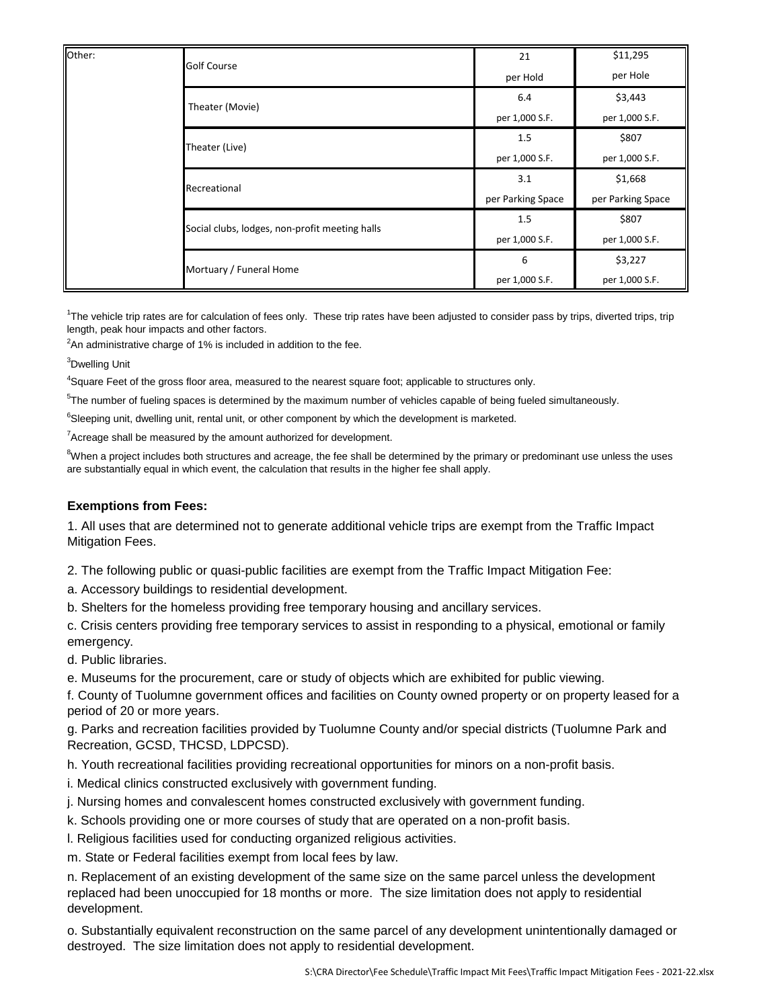| Other: | <b>Golf Course</b>                             | 21                | \$11,295          |
|--------|------------------------------------------------|-------------------|-------------------|
|        |                                                | per Hold          | per Hole          |
|        | Theater (Movie)                                | 6.4               | \$3,443           |
|        |                                                | per 1,000 S.F.    | per 1,000 S.F.    |
|        | Theater (Live)                                 | 1.5               | \$807             |
|        |                                                | per 1,000 S.F.    | per 1,000 S.F.    |
|        | Recreational                                   | 3.1               | \$1,668           |
|        |                                                | per Parking Space | per Parking Space |
|        | Social clubs, lodges, non-profit meeting halls | 1.5               | \$807             |
|        |                                                | per 1,000 S.F.    | per 1,000 S.F.    |
|        | Mortuary / Funeral Home                        | 6                 | \$3,227           |
|        |                                                | per 1,000 S.F.    | per 1,000 S.F.    |

<sup>1</sup>The vehicle trip rates are for calculation of fees only. These trip rates have been adjusted to consider pass by trips, diverted trips, trip length, peak hour impacts and other factors.

 $2$ An administrative charge of 1% is included in addition to the fee.

<sup>3</sup>Dwelling Unit

<sup>4</sup>Square Feet of the gross floor area, measured to the nearest square foot; applicable to structures only.

<sup>5</sup>The number of fueling spaces is determined by the maximum number of vehicles capable of being fueled simultaneously.

<sup>6</sup>Sleeping unit, dwelling unit, rental unit, or other component by which the development is marketed.

 $7$ Acreage shall be measured by the amount authorized for development.

 $8$ When a project includes both structures and acreage, the fee shall be determined by the primary or predominant use unless the uses are substantially equal in which event, the calculation that results in the higher fee shall apply.

#### **Exemptions from Fees:**

1. All uses that are determined not to generate additional vehicle trips are exempt from the Traffic Impact Mitigation Fees.

2. The following public or quasi-public facilities are exempt from the Traffic Impact Mitigation Fee:

a. Accessory buildings to residential development.

b. Shelters for the homeless providing free temporary housing and ancillary services.

c. Crisis centers providing free temporary services to assist in responding to a physical, emotional or family emergency.

d. Public libraries.

e. Museums for the procurement, care or study of objects which are exhibited for public viewing.

f. County of Tuolumne government offices and facilities on County owned property or on property leased for a period of 20 or more years.

g. Parks and recreation facilities provided by Tuolumne County and/or special districts (Tuolumne Park and Recreation, GCSD, THCSD, LDPCSD).

h. Youth recreational facilities providing recreational opportunities for minors on a non-profit basis.

i. Medical clinics constructed exclusively with government funding.

j. Nursing homes and convalescent homes constructed exclusively with government funding.

k. Schools providing one or more courses of study that are operated on a non-profit basis.

l. Religious facilities used for conducting organized religious activities.

m. State or Federal facilities exempt from local fees by law.

n. Replacement of an existing development of the same size on the same parcel unless the development replaced had been unoccupied for 18 months or more. The size limitation does not apply to residential development.

o. Substantially equivalent reconstruction on the same parcel of any development unintentionally damaged or destroyed. The size limitation does not apply to residential development.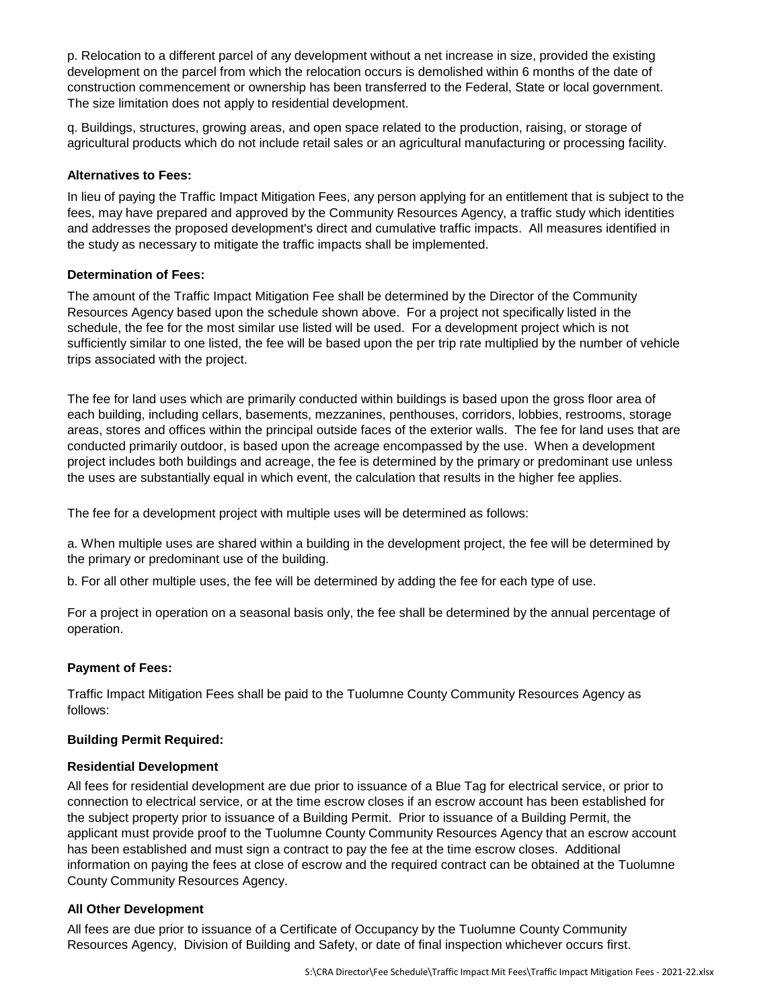p. Relocation to a different parcel of any development without a net increase in size, provided the existing development on the parcel from which the relocation occurs is demolished within 6 months of the date of construction commencement or ownership has been transferred to the Federal, State or local government. The size limitation does not apply to residential development.

q. Buildings, structures, growing areas, and open space related to the production, raising, or storage of agricultural products which do not include retail sales or an agricultural manufacturing or processing facility.

## **Alternatives to Fees:**

In lieu of paying the Traffic Impact Mitigation Fees, any person applying for an entitlement that is subject to the fees, may have prepared and approved by the Community Resources Agency, a traffic study which identities and addresses the proposed development's direct and cumulative traffic impacts. All measures identified in the study as necessary to mitigate the traffic impacts shall be implemented.

#### **Determination of Fees:**

The amount of the Traffic Impact Mitigation Fee shall be determined by the Director of the Community Resources Agency based upon the schedule shown above. For a project not specifically listed in the schedule, the fee for the most similar use listed will be used. For a development project which is not sufficiently similar to one listed, the fee will be based upon the per trip rate multiplied by the number of vehicle trips associated with the project.

The fee for land uses which are primarily conducted within buildings is based upon the gross floor area of each building, including cellars, basements, mezzanines, penthouses, corridors, lobbies, restrooms, storage areas, stores and offices within the principal outside faces of the exterior walls. The fee for land uses that are conducted primarily outdoor, is based upon the acreage encompassed by the use. When a development project includes both buildings and acreage, the fee is determined by the primary or predominant use unless the uses are substantially equal in which event, the calculation that results in the higher fee applies.

The fee for a development project with multiple uses will be determined as follows:

a. When multiple uses are shared within a building in the development project, the fee will be determined by the primary or predominant use of the building.

b. For all other multiple uses, the fee will be determined by adding the fee for each type of use.

For a project in operation on a seasonal basis only, the fee shall be determined by the annual percentage of operation.

# **Payment of Fees:**

Traffic Impact Mitigation Fees shall be paid to the Tuolumne County Community Resources Agency as follows:

# **Building Permit Required:**

#### **Residential Development**

All fees for residential development are due prior to issuance of a Blue Tag for electrical service, or prior to connection to electrical service, or at the time escrow closes if an escrow account has been established for the subject property prior to issuance of a Building Permit. Prior to issuance of a Building Permit, the applicant must provide proof to the Tuolumne County Community Resources Agency that an escrow account has been established and must sign a contract to pay the fee at the time escrow closes. Additional information on paying the fees at close of escrow and the required contract can be obtained at the Tuolumne County Community Resources Agency.

# **All Other Development**

All fees are due prior to issuance of a Certificate of Occupancy by the Tuolumne County Community Resources Agency, Division of Building and Safety, or date of final inspection whichever occurs first.